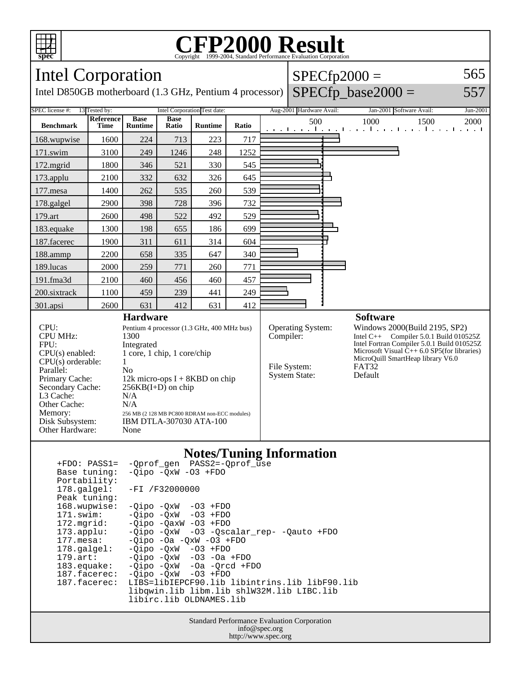

## Copyright ©1999-2004, Standard Performance Evaluation Corporation

| Intel Corporation                                                                                                                                                                                   |                                                                                                                                                                                                                                                                                                                |                               |                      |                                                                            |       |                                                                               | $SPECfp2000 =$           |                                                                                                                                                                                                                                                                    |      |                                                               |                       |
|-----------------------------------------------------------------------------------------------------------------------------------------------------------------------------------------------------|----------------------------------------------------------------------------------------------------------------------------------------------------------------------------------------------------------------------------------------------------------------------------------------------------------------|-------------------------------|----------------------|----------------------------------------------------------------------------|-------|-------------------------------------------------------------------------------|--------------------------|--------------------------------------------------------------------------------------------------------------------------------------------------------------------------------------------------------------------------------------------------------------------|------|---------------------------------------------------------------|-----------------------|
| $SPECfp\_base2000 =$<br>Intel D850GB motherboard (1.3 GHz, Pentium 4 processor)                                                                                                                     |                                                                                                                                                                                                                                                                                                                |                               |                      |                                                                            |       |                                                                               |                          |                                                                                                                                                                                                                                                                    |      |                                                               | 557                   |
| SPEC license #:                                                                                                                                                                                     | 13 Tested by:                                                                                                                                                                                                                                                                                                  |                               |                      | Intel Corporation Test date:                                               |       |                                                                               | Aug-2001 Hardware Avail: |                                                                                                                                                                                                                                                                    |      | Jan-2001 Software Avail:                                      | Jun-2001              |
| <b>Benchmark</b>                                                                                                                                                                                    | Reference<br>Time                                                                                                                                                                                                                                                                                              | <b>Base</b><br><b>Runtime</b> | <b>Base</b><br>Ratio | <b>Runtime</b>                                                             | Ratio |                                                                               | 500                      |                                                                                                                                                                                                                                                                    | 1000 | 1500<br>والمتوجب المتوجبا والمتوجب المتوجب المتوجبات والمنافذ | 2000<br>and a control |
| 168.wupwise                                                                                                                                                                                         | 1600                                                                                                                                                                                                                                                                                                           | 224                           | 713                  | 223                                                                        | 717   |                                                                               |                          |                                                                                                                                                                                                                                                                    |      |                                                               |                       |
| 171.swim                                                                                                                                                                                            | 3100                                                                                                                                                                                                                                                                                                           | 249                           | 1246                 | 248                                                                        | 1252  |                                                                               |                          |                                                                                                                                                                                                                                                                    |      |                                                               |                       |
| 172.mgrid                                                                                                                                                                                           | 1800                                                                                                                                                                                                                                                                                                           | 346                           | 521                  | 330                                                                        | 545   |                                                                               |                          |                                                                                                                                                                                                                                                                    |      |                                                               |                       |
| 173.applu                                                                                                                                                                                           | 2100                                                                                                                                                                                                                                                                                                           | 332                           | 632                  | 326                                                                        | 645   |                                                                               |                          |                                                                                                                                                                                                                                                                    |      |                                                               |                       |
| 177.mesa                                                                                                                                                                                            | 1400                                                                                                                                                                                                                                                                                                           | 262                           | 535                  | 260                                                                        | 539   |                                                                               |                          |                                                                                                                                                                                                                                                                    |      |                                                               |                       |
| 178.galgel                                                                                                                                                                                          | 2900                                                                                                                                                                                                                                                                                                           | 398                           | 728                  | 396                                                                        | 732   |                                                                               |                          |                                                                                                                                                                                                                                                                    |      |                                                               |                       |
| 179.art                                                                                                                                                                                             | 2600                                                                                                                                                                                                                                                                                                           | 498                           | 522                  | 492                                                                        | 529   |                                                                               |                          |                                                                                                                                                                                                                                                                    |      |                                                               |                       |
| 183.equake                                                                                                                                                                                          | 1300                                                                                                                                                                                                                                                                                                           | 198                           | 655                  | 186                                                                        | 699   |                                                                               |                          |                                                                                                                                                                                                                                                                    |      |                                                               |                       |
| 187.facerec                                                                                                                                                                                         | 1900                                                                                                                                                                                                                                                                                                           | 311                           | 611                  | 314                                                                        | 604   |                                                                               |                          |                                                                                                                                                                                                                                                                    |      |                                                               |                       |
| 188.ammp                                                                                                                                                                                            | 2200                                                                                                                                                                                                                                                                                                           | 658                           | 335                  | 647                                                                        | 340   |                                                                               |                          |                                                                                                                                                                                                                                                                    |      |                                                               |                       |
| 189.lucas                                                                                                                                                                                           | 2000                                                                                                                                                                                                                                                                                                           | 259                           | 771                  | 260                                                                        | 771   |                                                                               |                          |                                                                                                                                                                                                                                                                    |      |                                                               |                       |
| 191.fma3d                                                                                                                                                                                           | 2100                                                                                                                                                                                                                                                                                                           | 460                           | 456                  | 460                                                                        | 457   |                                                                               |                          |                                                                                                                                                                                                                                                                    |      |                                                               |                       |
| 200.sixtrack                                                                                                                                                                                        | 1100                                                                                                                                                                                                                                                                                                           | 459                           | 239                  | 441                                                                        | 249   |                                                                               |                          |                                                                                                                                                                                                                                                                    |      |                                                               |                       |
| 301.apsi                                                                                                                                                                                            | 2600                                                                                                                                                                                                                                                                                                           | 631                           | 412                  | 631                                                                        | 412   |                                                                               |                          |                                                                                                                                                                                                                                                                    |      |                                                               |                       |
| CPU:<br>CPU MHz:<br>FPU:<br>CPU(s) enabled:<br>$CPU(s)$ orderable:<br>Parallel:<br>Primary Cache:<br>Secondary Cache:<br>L3 Cache:<br>Other Cache:<br>Memory:<br>Disk Subsystem:<br>Other Hardware: | <b>Hardware</b><br>Pentium 4 processor (1.3 GHz, 400 MHz bus)<br>1300<br>Integrated<br>1 core, 1 chip, 1 core/chip<br>1<br>N <sub>0</sub><br>12k micro-ops $I + 8KBD$ on chip<br>$256KB(I+D)$ on chip<br>N/A<br>N/A<br>256 MB (2 128 MB PC800 RDRAM non-ECC modules)<br><b>IBM DTLA-307030 ATA-100</b><br>None |                               |                      |                                                                            |       | <b>Operating System:</b><br>Compiler:<br>File System:<br><b>System State:</b> |                          | <b>Software</b><br>Windows 2000(Build 2195, SP2)<br>Intel C++ Compiler 5.0.1 Build 010525Z<br>Intel Fortran Compiler 5.0.1 Build 010525Z<br>Microsoft Visual $\bar{C}_{++}$ 6.0 SP5(for libraries)<br>MicroQuill SmartHeap library V6.0<br><b>FAT32</b><br>Default |      |                                                               |                       |
| Base tuning:<br>Portability:<br>178.galgel:                                                                                                                                                         | $+FDO: PASS1=$                                                                                                                                                                                                                                                                                                 | -Qprof_gen                    | -FI /F32000000       | <b>Notes/Tuning Information</b><br>PASS2=-Qprof_use<br>-Oipo -OxW -O3 +FDO |       |                                                                               |                          |                                                                                                                                                                                                                                                                    |      |                                                               |                       |

 Peak tuning: 168.wupwise: -Qipo -QxW -O3 +FDO 171.swim: -Qipo -QxW -O3 +FDO 172.mgrid: - Qipo - QaxW - 03 + FDO<br>173.applu: - Qipo - QxW - 03 - Qsc -Qipo -QxW -O3 -Qscalar\_rep- -Qauto +FDO 177.mesa: - Qipo - Oa - QxW - O3 + FDO<br>178.galgel: - Qipo - QxW - O3 + FDO 178.galgel: -Qipo -QxW -O3 +FDO 179.art: -Qipo -QxW -O3 -Oa +FDO 183.equake: -Qipo -QxW -Oa -Qrcd +FDO 187.facerec: -Qipo -QxW -O3 +FDO 187.facerec: LIBS=libIEPCF90.lib libintrins.lib libF90.lib libqwin.lib libm.lib shlW32M.lib LIBC.lib libirc.lib OLDNAMES.lib

> Standard Performance Evaluation Corporation info@spec.org http://www.spec.org